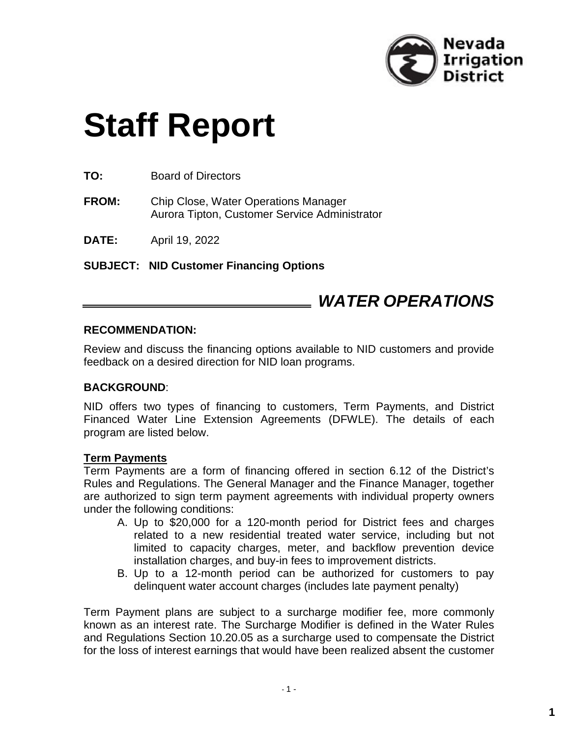

# **Staff Report**

**TO:** Board of Directors

**FROM:** Chip Close, Water Operations Manager Aurora Tipton, Customer Service Administrator

**DATE:** April 19, 2022

**SUBJECT: NID Customer Financing Options**

# *WATER OPERATIONS*

#### **RECOMMENDATION:**

Review and discuss the financing options available to NID customers and provide feedback on a desired direction for NID loan programs.

#### **BACKGROUND**:

NID offers two types of financing to customers, Term Payments, and District Financed Water Line Extension Agreements (DFWLE). The details of each program are listed below.

#### **Term Payments**

Term Payments are a form of financing offered in section 6.12 of the District's Rules and Regulations. The General Manager and the Finance Manager, together are authorized to sign term payment agreements with individual property owners under the following conditions:

- A. Up to \$20,000 for a 120-month period for District fees and charges related to a new residential treated water service, including but not limited to capacity charges, meter, and backflow prevention device installation charges, and buy-in fees to improvement districts.
- B. Up to a 12-month period can be authorized for customers to pay delinquent water account charges (includes late payment penalty)

Term Payment plans are subject to a surcharge modifier fee, more commonly known as an interest rate. The Surcharge Modifier is defined in the Water Rules and Regulations Section 10.20.05 as a surcharge used to compensate the District for the loss of interest earnings that would have been realized absent the customer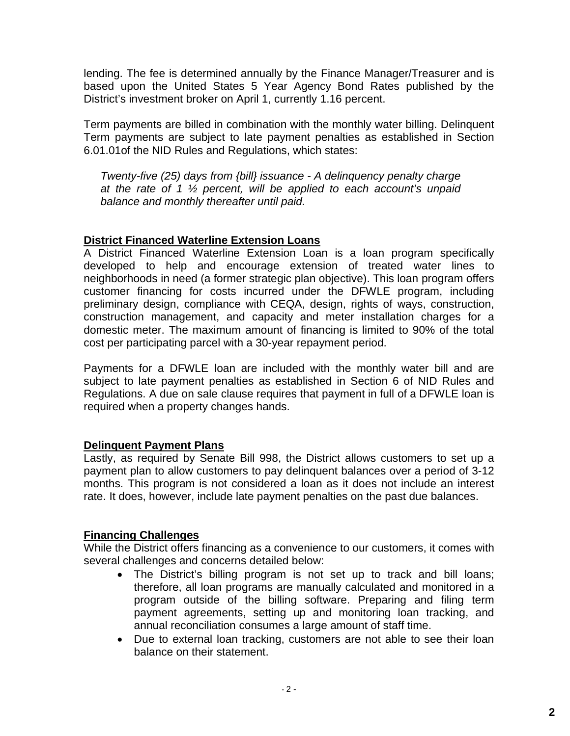lending. The fee is determined annually by the Finance Manager/Treasurer and is based upon the United States 5 Year Agency Bond Rates published by the District's investment broker on April 1, currently 1.16 percent.

Term payments are billed in combination with the monthly water billing. Delinquent Term payments are subject to late payment penalties as established in Section 6.01.01of the NID Rules and Regulations, which states:

*Twenty-five (25) days from {bill} issuance - A delinquency penalty charge at the rate of 1 ½ percent, will be applied to each account's unpaid balance and monthly thereafter until paid.*

# **District Financed Waterline Extension Loans**

A District Financed Waterline Extension Loan is a loan program specifically developed to help and encourage extension of treated water lines to neighborhoods in need (a former strategic plan objective). This loan program offers customer financing for costs incurred under the DFWLE program, including preliminary design, compliance with CEQA, design, rights of ways, construction, construction management, and capacity and meter installation charges for a domestic meter. The maximum amount of financing is limited to 90% of the total cost per participating parcel with a 30-year repayment period.

Payments for a DFWLE loan are included with the monthly water bill and are subject to late payment penalties as established in Section 6 of NID Rules and Regulations. A due on sale clause requires that payment in full of a DFWLE loan is required when a property changes hands.

# **Delinquent Payment Plans**

Lastly, as required by Senate Bill 998, the District allows customers to set up a payment plan to allow customers to pay delinquent balances over a period of 3-12 months. This program is not considered a loan as it does not include an interest rate. It does, however, include late payment penalties on the past due balances.

# **Financing Challenges**

While the District offers financing as a convenience to our customers, it comes with several challenges and concerns detailed below:

- The District's billing program is not set up to track and bill loans; therefore, all loan programs are manually calculated and monitored in a program outside of the billing software. Preparing and filing term payment agreements, setting up and monitoring loan tracking, and annual reconciliation consumes a large amount of staff time.
- Due to external loan tracking, customers are not able to see their loan balance on their statement.